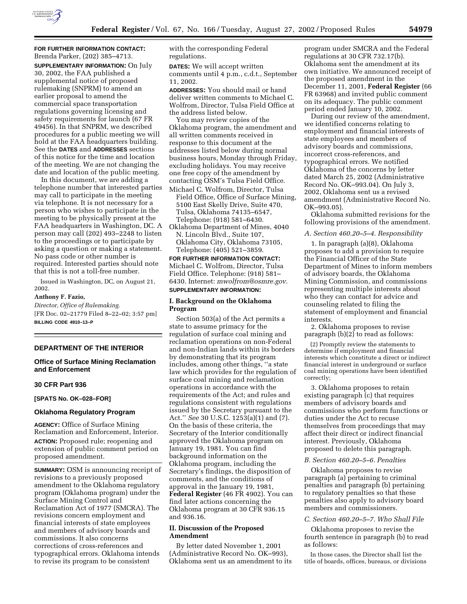

## **FOR FURTHER INFORMATION CONTACT:** Brenda Parker, (202) 385–4713.

**SUPPLEMENTARY INFORMATION:** On July 30, 2002, the FAA published a supplemental notice of proposed rulemaking (SNPRM) to amend an earlier proposal to amend the commercial space transportation regulations governing licensing and safety requirements for launch (67 FR 49456). In that SNPRM, we described procedures for a public meeting we will hold at the FAA headquarters building. See the **DATES** and **ADDRESSES** sections of this notice for the time and location of the meeting. We are not changing the date and location of the public meeting.

In this document, we are adding a telephone number that interested parties may call to participate in the meeting via telephone. It is not necessary for a person who wishes to participate in the meeting to be physically present at the FAA headquarters in Washington, DC. A person may call (202) 493–2248 to listen to the proceedings or to participate by asking a question or making a statement. No pass code or other number is required. Interested parties should note that this is not a toll-free number.

Issued in Washington, DC, on August 21, 2002.

#### **Anthony F. Fazio,**

*Director, Office of Rulemaking.* [FR Doc. 02–21779 Filed 8–22–02; 3:57 pm] **BILLING CODE 4910–13–P**

## **DEPARTMENT OF THE INTERIOR**

## **Office of Surface Mining Reclamation and Enforcement**

## **30 CFR Part 936**

**[SPATS No. OK–028–FOR]** 

#### **Oklahoma Regulatory Program**

**AGENCY:** Office of Surface Mining Reclamation and Enforcement, Interior. **ACTION:** Proposed rule; reopening and extension of public comment period on proposed amendment.

**SUMMARY:** OSM is announcing receipt of revisions to a previously proposed amendment to the Oklahoma regulatory program (Oklahoma program) under the Surface Mining Control and Reclamation Act of 1977 (SMCRA). The revisions concern employment and financial interests of state employees and members of advisory boards and commissions. It also concerns corrections of cross-references and typographical errors. Oklahoma intends to revise its program to be consistent

with the corresponding Federal regulations.

**DATES:** We will accept written comments until 4 p.m., c.d.t., September 11, 2002.

**ADDRESSES:** You should mail or hand deliver written comments to Michael C. Wolfrom, Director, Tulsa Field Office at the address listed below.

You may review copies of the Oklahoma program, the amendment and all written comments received in response to this document at the addresses listed below during normal business hours, Monday through Friday, excluding holidays. You may receive one free copy of the amendment by contacting OSM's Tulsa Field Office. Michael C. Wolfrom, Director, Tulsa

Field Office, Office of Surface Mining, 5100 East Skelly Drive, Suite 470, Tulsa, Oklahoma 74135–6547, Telephone: (918) 581–6430.

Oklahoma Department of Mines, 4040 N. Lincoln Blvd., Suite 107, Oklahoma City, Oklahoma 73105, Telephone: (405) 521–3859.

**FOR FURTHER INFORMATION CONTACT:** Michael C. Wolfrom, Director, Tulsa Field Office. Telephone: (918) 581– 6430. Internet: *mwolfrom@osmre.gov*. **SUPPLEMENTARY INFORMATION:** 

## **I. Background on the Oklahoma Program**

Section 503(a) of the Act permits a state to assume primacy for the regulation of surface coal mining and reclamation operations on non-Federal and non-Indian lands within its borders by demonstrating that its program includes, among other things, ''a state law which provides for the regulation of surface coal mining and reclamation operations in accordance with the requirements of the Act; and rules and regulations consistent with regulations issued by the Secretary pursuant to the Act.'' *See* 30 U.S.C. 1253(a)(1) and (7). On the basis of these criteria, the Secretary of the Interior conditionally approved the Oklahoma program on January 19, 1981. You can find background information on the Oklahoma program, including the Secretary's findings, the disposition of comments, and the conditions of approval in the January 19, 1981, **Federal Register** (46 FR 4902). You can find later actions concerning the Oklahoma program at 30 CFR 936.15 and 936.16.

## **II. Discussion of the Proposed Amendment**

By letter dated November 1, 2001 (Administrative Record No. OK–993), Oklahoma sent us an amendment to its program under SMCRA and the Federal regulations at 30 CFR 732.17(b). Oklahoma sent the amendment at its own initiative. We announced receipt of the proposed amendment in the December 11, 2001, **Federal Register** (66 FR 63968) and invited public comment on its adequacy. The public comment period ended January 10, 2002.

During our review of the amendment, we identified concerns relating to employment and financial interests of state employees and members of advisory boards and commissions, incorrect cross-references, and typographical errors. We notified Oklahoma of the concerns by letter dated March 25, 2002 (Administrative Record No. OK–993.04). On July 3, 2002, Oklahoma sent us a revised amendment (Administrative Record No. OK–993.05).

Oklahoma submitted revisions for the following provisions of the amendment.

### *A. Section 460.20–5–4. Responsibility*

1. In paragraph (a)(8), Oklahoma proposes to add a provision to require the Financial Officer of the State Department of Mines to inform members of advisory boards, the Oklahoma Mining Commission, and commissions representing multiple interests about who they can contact for advice and counseling related to filing the statement of employment and financial interests.

2. Oklahoma proposes to revise paragraph (b)(2) to read as follows:

(2) Promptly review the statements to determine if employment and financial interests which constitute a direct or indirect financial interest in underground or surface coal mining operations have been identified correctly;

3. Oklahoma proposes to retain existing paragraph (c) that requires members of advisory boards and commissions who perform functions or duties under the Act to recuse themselves from proceedings that may affect their direct or indirect financial interest. Previously, Oklahoma proposed to delete this paragraph.

#### *B. Section 460.20–5–6. Penalties*

Oklahoma proposes to revise paragraph (a) pertaining to criminal penalties and paragraph (b) pertaining to regulatory penalties so that these penalties also apply to advisory board members and commissioners.

#### *C. Section 460.20–5–7. Who Shall File*

Oklahoma proposes to revise the fourth sentence in paragraph (b) to read as follows:

In those cases, the Director shall list the title of boards, offices, bureaus, or divisions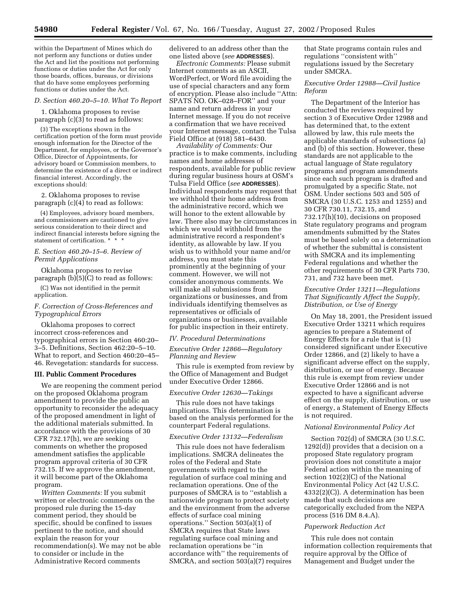within the Department of Mines which do not perform any functions or duties under the Act and list the positions not performing functions or duties under the Act for only those boards, offices, bureaus, or divisions that do have some employees performing functions or duties under the Act.

#### *D. Section 460.20–5–10. What To Report*

1. Oklahoma proposes to revise paragraph (c)(3) to read as follows:

(3) The exceptions shown in the certification portion of the form must provide enough information for the Director of the Department, for employees, or the Governor's Office, Director of Appointments, for advisory board or Commission members, to determine the existence of a direct or indirect financial interest. Accordingly, the exceptions should:

2. Oklahoma proposes to revise paragraph (c)(4) to read as follows:

(4) Employees, advisory board members, and commissioners are cautioned to give serious consideration to their direct and indirect financial interests before signing the statement of certification. \* \* \*

#### *E. Section 460.20–15–6. Review of Permit Applications*

Oklahoma proposes to revise paragraph (b)(5)(C) to read as follows:

(C) Was not identified in the permit application.

## *F. Correction of Cross-References and Typographical Errors*

Oklahoma proposes to correct incorrect cross-references and typographical errors in Section 460:20– 3–5. Definitions, Section 462:20–5–10. What to report, and Section 460:20–45– 46. Revegetation: standards for success.

#### **III. Public Comment Procedures**

We are reopening the comment period on the proposed Oklahoma program amendment to provide the public an opportunity to reconsider the adequacy of the proposed amendment in light of the additional materials submitted. In accordance with the provisions of 30 CFR 732.17(h), we are seeking comments on whether the proposed amendment satisfies the applicable program approval criteria of 30 CFR 732.15. If we approve the amendment, it will become part of the Oklahoma program.

*Written Comments:* If you submit written or electronic comments on the proposed rule during the 15-day comment period, they should be specific, should be confined to issues pertinent to the notice, and should explain the reason for your recommendation(s). We may not be able to consider or include in the Administrative Record comments

delivered to an address other than the one listed above (*see* **ADDRESSES**).

*Electronic Comments:* Please submit Internet comments as an ASCII, WordPerfect, or Word file avoiding the use of special characters and any form of encryption. Please also include ''Attn: SPATS NO. OK–028–FOR'' and your name and return address in your Internet message. If you do not receive a confirmation that we have received your Internet message, contact the Tulsa Field Office at (918) 581–6430.

*Availability of Comments:* Our practice is to make comments, including names and home addresses of respondents, available for public review during regular business hours at OSM's Tulsa Field Office (*see* **ADDRESSES**). Individual respondents may request that we withhold their home address from the administrative record, which we will honor to the extent allowable by law. There also may be circumstances in which we would withhold from the administrative record a respondent's identity, as allowable by law. If you wish us to withhold your name and/or address, you must state this prominently at the beginning of your comment. However, we will not consider anonymous comments. We will make all submissions from organizations or businesses, and from individuals identifying themselves as representatives or officials of organizations or businesses, available for public inspection in their entirety.

#### *IV. Procedural Determinations*

*Executive Order 12866—Regulatory Planning and Review*

This rule is exempted from review by the Office of Management and Budget under Executive Order 12866.

#### *Executive Order 12630—Takings*

This rule does not have takings implications. This determination is based on the analysis performed for the counterpart Federal regulations.

#### *Executive Order 13132—Federalism*

This rule does not have federalism implications. SMCRA delineates the roles of the Federal and State governments with regard to the regulation of surface coal mining and reclamation operations. One of the purposes of SMCRA is to ''establish a nationwide program to protect society and the environment from the adverse effects of surface coal mining operations." Section  $503(a)(1)$  of SMCRA requires that State laws regulating surface coal mining and reclamation operations be ''in accordance with'' the requirements of SMCRA, and section 503(a)(7) requires

that State programs contain rules and regulations ''consistent with'' regulations issued by the Secretary under SMCRA.

## *Executive Order 12988—Civil Justice Reform*

The Department of the Interior has conducted the reviews required by section 3 of Executive Order 12988 and has determined that, to the extent allowed by law, this rule meets the applicable standards of subsections (a) and (b) of this section. However, these standards are not applicable to the actual language of State regulatory programs and program amendments since each such program is drafted and promulgated by a specific State, not OSM. Under sections 503 and 505 of SMCRA (30 U.S.C. 1253 and 1255) and 30 CFR 730.11, 732.15, and 732.17(h)(10), decisions on proposed State regulatory programs and program amendments submitted by the States must be based solely on a determination of whether the submittal is consistent with SMCRA and its implementing Federal regulations and whether the other requirements of 30 CFR Parts 730, 731, and 732 have been met.

## *Executive Order 13211—Regulations That Significantly Affect the Supply, Distribution, or Use of Energy*

On May 18, 2001, the President issued Executive Order 13211 which requires agencies to prepare a Statement of Energy Effects for a rule that is (1) considered significant under Executive Order 12866, and (2) likely to have a significant adverse effect on the supply, distribution, or use of energy. Because this rule is exempt from review under Executive Order 12866 and is not expected to have a significant adverse effect on the supply, distribution, or use of energy, a Statement of Energy Effects is not required.

## *National Environmental Policy Act*

Section 702(d) of SMCRA (30 U.S.C. 1292(d)) provides that a decision on a proposed State regulatory program provision does not constitute a major Federal action within the meaning of section 102(2)(C) of the National Environmental Policy Act (42 U.S.C. 4332(2)(C)). A determination has been made that such decisions are categorically excluded from the NEPA process (516 DM 8.4.A).

#### *Paperwork Reduction Act*

This rule does not contain information collection requirements that require approval by the Office of Management and Budget under the